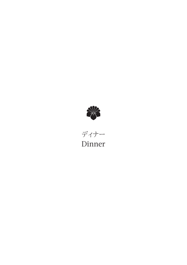

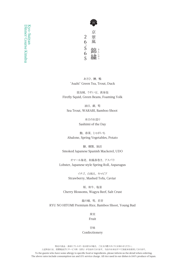

あさひ、鱒、鴨 "Asahi" Green Tea, Trout, Duck

蛍烏賊、うすい豆、黄身泡 Firefly Squid, Green Beans, Foaming Yolk

油目、蕨、筍 Sea Trout, WARABI, Bamboo Shoot

> 本日のお造り Sashimi of the Day

鮑、春菜、 じゃがいも Abalone, Spring Vegetables, Potato

鰆、 燻製、 独活 Smoked Japanese Spanish Mackerel, UDO

オマール海老、和風春巻き、アスパラ Lobster, Japanese style Spring Roll, Asparagus

> イチゴ、 白和え、 キャビア Strawberry, Mashed Tofu, Caviar

桜、 和牛、 塩釜 Cherry Blossoms, Wagyu Beef, Salt Crust

龍の瞳、筍、若芽 RYU NO HITOMI Premium Rice, Bamboo Shoot, Young Bud

> 果実 Fruit

> > 甘味

## Confectionery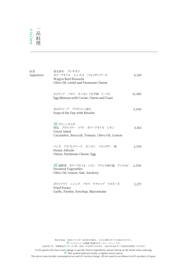| 前菜<br>Appetizer | 黒毛和牛 ブレザオラ<br>オリーブオイル レンズ豆 パルメザンチーズ<br>Wagyu Beef Bresaola<br>Olive Oil, Lentil and Parmesan Cheese                 | 6,325  |
|-----------------|---------------------------------------------------------------------------------------------------------------------|--------|
|                 | キャヴィア パセリ オニオン ミモザ卵 トースト<br>Egg Mimosa with Caviar, Onion and Toast                                                 | 11,385 |
|                 | 本日のスープ ブリオッシュ添え<br>Soup of the Day with Brioche                                                                     | 2,530  |
|                 | $\mathcal{H}$ : グリーンサラダ<br>胡瓜 ブロッコリー トマト オリーブオイル レモン<br>Green Salad<br>Cucumber, Broccoli, Tomato, Olive Oil, Lemon | 3,163  |
|                 | ペンネ アルフレドソース オニオン パルメザン 卵<br>Penne Alfredo<br>Onion, Parmesan Cheese, Egg                                           | 3,795  |
|                 | ${\mathcal H}$ :温野菜 オリーブオイル レモン ゲランド産の塩 アンチョビ<br><b>Steamed Vegetables</b><br>Olive Oil, Lemon, Salt, Anchovy       | 2,530  |
|                 | ポテトフライ ニンニク パセリ ケチャップ マヨネーズ<br>Fried Potato<br>Garlic, Parsley, Ketchup, Mayonnaise                                 | 2,277  |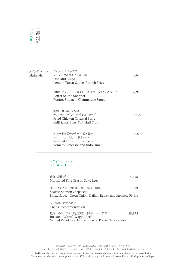## A La Carte<br>|一日料理<br>メインディッジ 一品料 かいしょう 料 理

| メインディッシュ<br>Main Dish | フィッシュ&チップス<br>レモン タルタルソース ポテト<br>Fish and Chips<br>Lemon, Tartar Sauce, French Fries                              | 5,693 |
|-----------------------|-------------------------------------------------------------------------------------------------------------------|-------|
|                       | 真鯛のポアレ ジャガイモ 法蓮草 シャンパンソース<br>Poiret of Red Snapper<br>Potato, Spinach, Champagne Sauce                            | 6,958 |
|                       | 地鶏 オリエンタル風<br>チリソース ライム ソフトシェルクラブ<br>Fried Chicken Oriental Style<br>Chili Sauce, Lime, Soft-shell Crab           | 7,590 |
|                       | オマール海老のソテー エピス風味<br>トマトコンカッセとジュドオマール<br>Sautéed Lobster Epis Flavor<br>Tomato Concasse and Judo Omar              | 8,223 |
|                       | シグネチャーディッシュ<br><b>Signature Dish</b>                                                                              |       |
|                       | 鴨肝の酒粕漬け<br>Marinated Foie Gras in Sake Lees                                                                       | 4,428 |
|                       | サーモンたたき ポン酢 葱 大根<br>紫蘇<br>Seaved Salmon Carpaccio<br>Ponzu Sauce, Green Onion, Daikon Radish and Japanese Perilla | 5,693 |

シェフのおすすめ料理 Chef's Recommendation

近江牛のロースト 焼き野菜 もろ味 ポン酢ジュレ 18,975 Roasted "Ohmi" Wagyu Beef Grilled Vegetable, Moromi Paste, Ponzu Sauce Gelée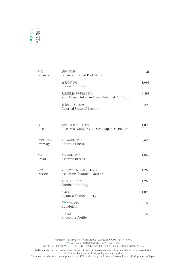## A La Carte A La Carte 一品料 かいしょう

| 和食<br>Japanese     | 黒豚の角煮<br>Japanese Braised Pork Belly                           | 4,428 |
|--------------------|----------------------------------------------------------------|-------|
|                    | 海老の天ぷら<br>Prawn Tempura                                        | 5,693 |
|                    | 九条葱と揚げの稲庭うどん<br>Kujo Green Onion and deep-fried flat Tofu Udon | 1,898 |
|                    | 御造里 盛り合わせ<br>Assorted Seasonal Sashimi                         | 6,325 |
| 米<br>Rice          | 御飯 味噌汁 京漬物<br>Rice, Miso Soup, Kyoto Style Japanese Pickles    | 1,898 |
| フロマージュ<br>Fromage  | チーズ盛り合わせ<br>Assorted Cheese                                    | 5,693 |
| パン<br><b>Bread</b> | パン 盛り合わせ<br><b>Assorted Breads</b>                             | 1,898 |
| デザート<br>Dessert    | アイスクリーム (バニラ・抹茶)<br>Ice Cream (Vanilla · Matcha)               | 1,265 |
|                    | 本日のシャーベット<br>Sherbet of the day                                | 1,265 |
|                    | 和菓子<br>Japanese Confectionery                                  | 1,898 |
|                    | $H$ : カットメロン<br>Cut Melon                                      | 3,163 |
|                    | 生カカオ<br>Chocolate Truffle                                      | 3,163 |